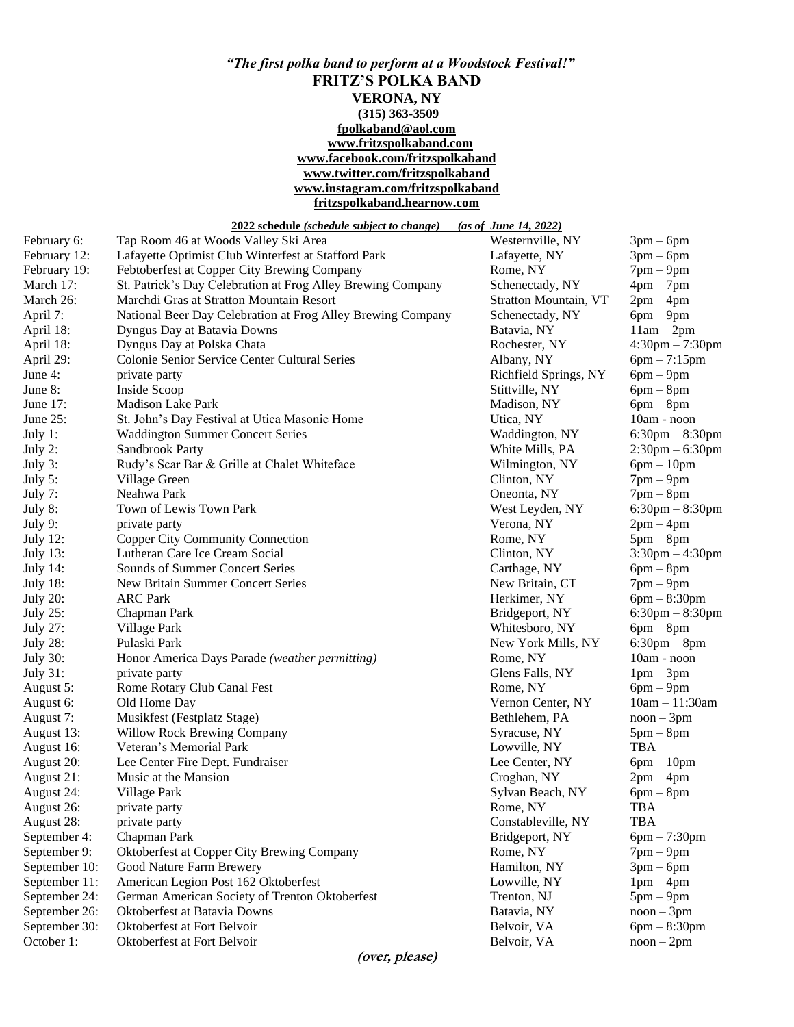## *"The first polka band to perform at a Woodstock Festival!"* **FRITZ'S POLKA BAND VERONA, NY (315) 363-3509 [fpolkaband@aol.com](mailto:fpolkaband@aol.com) [www.fritzspolkaband.com](http://www.fritzspolkaband.com/) [www.facebook.com/fritzspolkaband](http://www.facebook.com/fritzspolkaband) [www.twitter.com/fritzspolkaband](http://www.twitter.com/fritzspolkaband) [www.instagram.com/fritzspolkaband](http://www.instagram.com/fritzspolkaband) fritzspolkaband.hearnow.com**

|                 | 2022 schedule (schedule subject to change)                  | (as of June 14, 2022) |                      |
|-----------------|-------------------------------------------------------------|-----------------------|----------------------|
| February 6:     | Tap Room 46 at Woods Valley Ski Area                        | Westernville, NY      | $3pm-6pm$            |
| February 12:    | Lafayette Optimist Club Winterfest at Stafford Park         | Lafayette, NY         | $3pm-6pm$            |
| February 19:    | Febtoberfest at Copper City Brewing Company                 | Rome, NY              | $7$ pm $-$ 9pm       |
| March 17:       | St. Patrick's Day Celebration at Frog Alley Brewing Company | Schenectady, NY       | $4pm-7pm$            |
| March 26:       | Marchdi Gras at Stratton Mountain Resort                    | Stratton Mountain, VT | $2pm-4pm$            |
| April 7:        | National Beer Day Celebration at Frog Alley Brewing Company | Schenectady, NY       | $6pm-9pm$            |
| April 18:       | Dyngus Day at Batavia Downs                                 | Batavia, NY           | $11am - 2pm$         |
| April 18:       | Dyngus Day at Polska Chata                                  | Rochester, NY         | $4:30$ pm $-7:30$ pm |
| April 29:       | Colonie Senior Service Center Cultural Series               | Albany, NY            | $6pm - 7:15pm$       |
| June 4:         | private party                                               | Richfield Springs, NY | $6pm-9pm$            |
| June 8:         | Inside Scoop                                                | Stittville, NY        | $6pm - 8pm$          |
| June 17:        | Madison Lake Park                                           | Madison, NY           | $6pm - 8pm$          |
| June $25$ :     | St. John's Day Festival at Utica Masonic Home               | Utica, NY             | 10am - noon          |
| July $1$ :      | <b>Waddington Summer Concert Series</b>                     | Waddington, NY        | $6:30$ pm $-8:30$ pm |
| July 2:         | Sandbrook Party                                             | White Mills, PA       | $2:30$ pm $-6:30$ pm |
| July 3:         | Rudy's Scar Bar & Grille at Chalet Whiteface                | Wilmington, NY        | $6pm - 10pm$         |
| July 5:         | Village Green                                               | Clinton, NY           | $7$ pm $-$ 9pm       |
| July 7:         | Neahwa Park                                                 | Oneonta, NY           | $7$ pm $-$ 8pm       |
| July 8:         | Town of Lewis Town Park                                     | West Leyden, NY       | $6:30$ pm $-8:30$ pm |
| July 9:         | private party                                               | Verona, NY            | $2pm-4pm$            |
| July 12:        | <b>Copper City Community Connection</b>                     | Rome, NY              | $5pm-8pm$            |
| <b>July 13:</b> | Lutheran Care Ice Cream Social                              | Clinton, NY           | $3:30$ pm $-4:30$ pm |
| July 14:        | Sounds of Summer Concert Series                             | Carthage, NY          | $6pm - 8pm$          |
| <b>July 18:</b> | New Britain Summer Concert Series                           | New Britain, CT       | $7pm-9pm$            |
| <b>July 20:</b> | <b>ARC Park</b>                                             | Herkimer, NY          | $6pm - 8:30pm$       |
| <b>July 25:</b> | Chapman Park                                                | Bridgeport, NY        | $6:30$ pm $-8:30$ pm |
| <b>July 27:</b> | Village Park                                                | Whitesboro, NY        | $6pm - 8pm$          |
| <b>July 28:</b> | Pulaski Park                                                | New York Mills, NY    | $6:30$ pm $-8$ pm    |
| <b>July 30:</b> | Honor America Days Parade (weather permitting)              | Rome, NY              | 10am - noon          |
| <b>July 31:</b> | private party                                               | Glens Falls, NY       | $1pm-3pm$            |
| August 5:       | Rome Rotary Club Canal Fest                                 | Rome, NY              | $6pm-9pm$            |
| August 6:       | Old Home Day                                                | Vernon Center, NY     | $10am - 11:30am$     |
| August 7:       | Musikfest (Festplatz Stage)                                 | Bethlehem, PA         | $noon - 3pm$         |
| August 13:      | <b>Willow Rock Brewing Company</b>                          | Syracuse, NY          | $5pm-8pm$            |
| August 16:      | Veteran's Memorial Park                                     | Lowville, NY          | <b>TBA</b>           |
| August 20:      | Lee Center Fire Dept. Fundraiser                            | Lee Center, NY        | $6pm-10pm$           |
| August 21:      | Music at the Mansion                                        | Croghan, NY           | $2pm-4pm$            |
| August 24:      | Village Park                                                | Sylvan Beach, NY      | $6pm - 8pm$          |
| August 26:      | private party                                               | Rome, NY              | TBA                  |
| August 28:      | private party                                               | Constableville, NY    | <b>TBA</b>           |
| September 4:    | Chapman Park                                                | Bridgeport, NY        | $6pm - 7:30pm$       |
| September 9:    | Oktoberfest at Copper City Brewing Company                  | Rome, NY              | $7$ pm $-$ 9pm       |
| September 10:   | Good Nature Farm Brewery                                    | Hamilton, NY          | $3pm-6pm$            |
| September 11:   | American Legion Post 162 Oktoberfest                        | Lowville, NY          | $1pm-4pm$            |
| September 24:   | German American Society of Trenton Oktoberfest              | Trenton, NJ           | $5pm-9pm$            |
| September 26:   | Oktoberfest at Batavia Downs                                | Batavia, NY           | $noon - 3pm$         |
| September 30:   | Oktoberfest at Fort Belvoir                                 | Belvoir, VA           | $6pm - 8:30pm$       |
| October 1:      | Oktoberfest at Fort Belvoir                                 | Belvoir, VA           | $noon - 2pm$         |
|                 |                                                             |                       |                      |

**(over, please)**